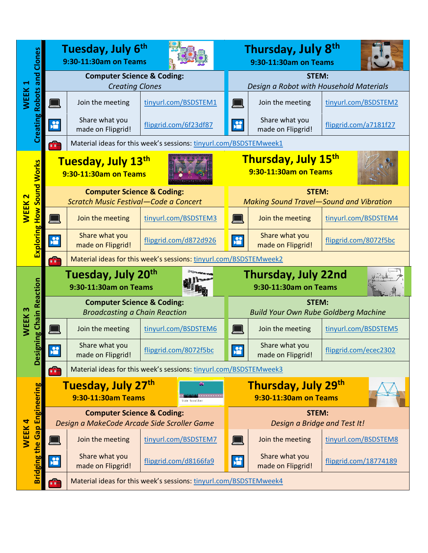